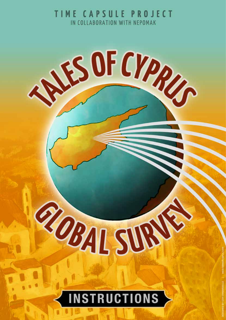TIME CAPSULE PROJECT IN COLLABORATION WITH NEPOMAK

ANS OF CYPRUS

## **INSTRUCTIONS**

ROBAL SURV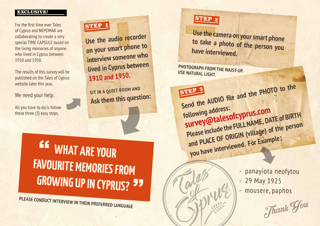- panayiota neofytou - 29 May 1925 - mousere, paphos

Use the audio recorder **on your smart phone to interview someone who lived in Cyprus between 1910 and 1950.** 

**WHAT ARE YOUR FAVOURITE MEMORIES FROM GROWING UP IN CYPRUS?**  $\epsilon$ .<br>77

**SIT IN A QUIET ROOM AND Ask them this question:**

## STEP 2

**Use the camera on your smart phone to take a photo of the person you have interviewed.**



STEP <sup>3</sup> STEP 8 AUDIO file and the PHOTO to the **following address: survey@talesofcyprus.com Please include the FULL NAME, DATE of BIRTH and PLACE OF ORIGIN (village) of the person you have interviewed. For Example:**

For the first time ever Tales of Cyprus and NEPOMAK are collaborating to create a very special TIME CAPSULE based on the living memories of anyone who lived in Cyprus between 1910 and 1950.

The results of this survey will be published on the Tales of Cyprus website later this year.

We need your help.

All you have to do is follow these three (3) easy steps.

**STEP** 

## EXCLUSIVE!

**PLEASE CONDUCT INTERVIEW IN THEIR PREFERRED LANGUAGE**

**PHOTOGRAPH FROM THE WAIST-UP. USE NATURAL LIGHT.**